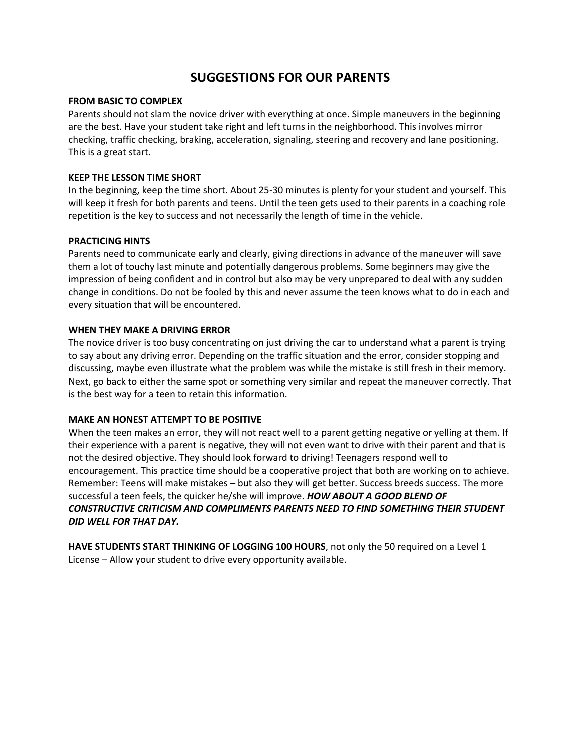# **SUGGESTIONS FOR OUR PARENTS**

#### **FROM BASIC TO COMPLEX**

Parents should not slam the novice driver with everything at once. Simple maneuvers in the beginning are the best. Have your student take right and left turns in the neighborhood. This involves mirror checking, traffic checking, braking, acceleration, signaling, steering and recovery and lane positioning. This is a great start.

#### **KEEP THE LESSON TIME SHORT**

In the beginning, keep the time short. About 25-30 minutes is plenty for your student and yourself. This will keep it fresh for both parents and teens. Until the teen gets used to their parents in a coaching role repetition is the key to success and not necessarily the length of time in the vehicle.

#### **PRACTICING HINTS**

Parents need to communicate early and clearly, giving directions in advance of the maneuver will save them a lot of touchy last minute and potentially dangerous problems. Some beginners may give the impression of being confident and in control but also may be very unprepared to deal with any sudden change in conditions. Do not be fooled by this and never assume the teen knows what to do in each and every situation that will be encountered.

#### **WHEN THEY MAKE A DRIVING ERROR**

The novice driver is too busy concentrating on just driving the car to understand what a parent is trying to say about any driving error. Depending on the traffic situation and the error, consider stopping and discussing, maybe even illustrate what the problem was while the mistake is still fresh in their memory. Next, go back to either the same spot or something very similar and repeat the maneuver correctly. That is the best way for a teen to retain this information.

## **MAKE AN HONEST ATTEMPT TO BE POSITIVE**

When the teen makes an error, they will not react well to a parent getting negative or yelling at them. If their experience with a parent is negative, they will not even want to drive with their parent and that is not the desired objective. They should look forward to driving! Teenagers respond well to encouragement. This practice time should be a cooperative project that both are working on to achieve. Remember: Teens will make mistakes – but also they will get better. Success breeds success. The more successful a teen feels, the quicker he/she will improve. *HOW ABOUT A GOOD BLEND OF CONSTRUCTIVE CRITICISM AND COMPLIMENTS PARENTS NEED TO FIND SOMETHING THEIR STUDENT DID WELL FOR THAT DAY.*

**HAVE STUDENTS START THINKING OF LOGGING 100 HOURS**, not only the 50 required on a Level 1 License – Allow your student to drive every opportunity available.